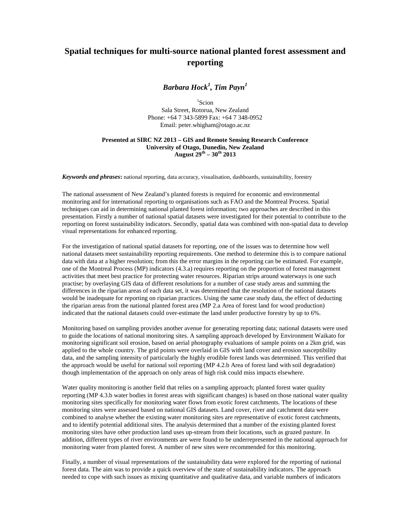## **Spatial techniques for multi-source national planted forest assessment and reporting**

*Barbara Hock<sup>1</sup> , Tim Payn<sup>1</sup>*

1 Scion Sala Street, Rotorua, New Zealand Phone: +64 7 343-5899 Fax: +64 7 348-0952 Email: peter.whigham@otago.ac.nz

## **Presented at SIRC NZ 2013 – GIS and Remote Sensing Research Conference University of Otago, Dunedin, New Zealand August 29th – 30th 2013**

*Keywords and phrases***:** national reporting, data accuracy, visualisation, dashboards, sustainability, forestry

The national assessment of New Zealand's planted forests is required for economic and environmental monitoring and for international reporting to organisations such as FAO and the Montreal Process. Spatial techniques can aid in determining national planted forest information; two approaches are described in this presentation. Firstly a number of national spatial datasets were investigated for their potential to contribute to the reporting on forest sustainability indicators. Secondly, spatial data was combined with non-spatial data to develop visual representations for enhanced reporting.

For the investigation of national spatial datasets for reporting, one of the issues was to determine how well national datasets meet sustainability reporting requirements. One method to determine this is to compare national data with data at a higher resolution; from this the error margins in the reporting can be estimated. For example, one of the Montreal Process (MP) indicators (4.3.a) requires reporting on the proportion of forest management activities that meet best practice for protecting water resources. Riparian strips around waterways is one such practise; by overlaying GIS data of different resolutions for a number of case study areas and summing the differences in the riparian areas of each data set, it was determined that the resolution of the national datasets would be inadequate for reporting on riparian practices. Using the same case study data, the effect of deducting the riparian areas from the national planted forest area (MP 2.a Area of forest land for wood production) indicated that the national datasets could over-estimate the land under productive forestry by up to 6%.

Monitoring based on sampling provides another avenue for generating reporting data; national datasets were used to guide the locations of national monitoring sites. A sampling approach developed by Environment Waikato for monitoring significant soil erosion, based on aerial photography evaluations of sample points on a 2km grid, was applied to the whole country. The grid points were overlaid in GIS with land cover and erosion susceptibility data, and the sampling intensity of particularly the highly erodible forest lands was determined. This verified that the approach would be useful for national soil reporting (MP 4.2.b Area of forest land with soil degradation) though implementation of the approach on only areas of high risk could miss impacts elsewhere.

Water quality monitoring is another field that relies on a sampling approach; planted forest water quality reporting (MP 4.3.b water bodies in forest areas with significant changes) is based on those national water quality monitoring sites specifically for monitoring water flows from exotic forest catchments. The locations of these monitoring sites were assessed based on national GIS datasets. Land cover, river and catchment data were combined to analyse whether the existing water monitoring sites are representative of exotic forest catchments, and to identify potential additional sites. The analysis determined that a number of the existing planted forest monitoring sites have other production land uses up-stream from their locations, such as grazed pasture. In addition, different types of river environments are were found to be underrepresented in the national approach for monitoring water from planted forest. A number of new sites were recommended for this monitoring.

Finally, a number of visual representations of the sustainability data were explored for the reporting of national forest data. The aim was to provide a quick overview of the state of sustainability indicators. The approach needed to cope with such issues as mixing quantitative and qualitative data, and variable numbers of indicators